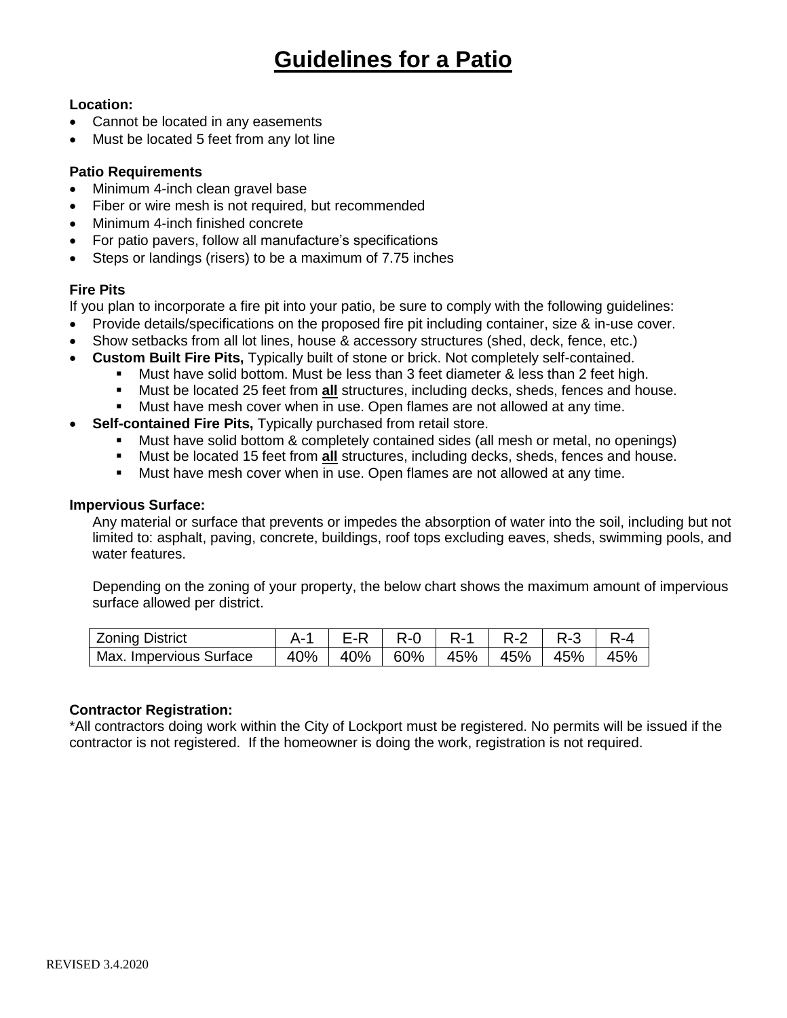## **Location:**

- Cannot be located in any easements
- Must be located 5 feet from any lot line

## **Patio Requirements**

- Minimum 4-inch clean gravel base
- Fiber or wire mesh is not required, but recommended
- Minimum 4-inch finished concrete
- For patio pavers, follow all manufacture's specifications
- Steps or landings (risers) to be a maximum of 7.75 inches

# **Fire Pits**

If you plan to incorporate a fire pit into your patio, be sure to comply with the following guidelines:

- Provide details/specifications on the proposed fire pit including container, size & in-use cover.
- Show setbacks from all lot lines, house & accessory structures (shed, deck, fence, etc.)
- **Custom Built Fire Pits,** Typically built of stone or brick. Not completely self-contained.
	- Must have solid bottom. Must be less than 3 feet diameter & less than 2 feet high.
	- Must be located 25 feet from **all** structures, including decks, sheds, fences and house.
	- Must have mesh cover when in use. Open flames are not allowed at any time.
- **Self-contained Fire Pits,** Typically purchased from retail store.
	- Must have solid bottom & completely contained sides (all mesh or metal, no openings)
	- Must be located 15 feet from **all** structures, including decks, sheds, fences and house.
	- **Must have mesh cover when in use. Open flames are not allowed at any time.**

#### **Impervious Surface:**

Any material or surface that prevents or impedes the absorption of water into the soil, including but not limited to: asphalt, paving, concrete, buildings, roof tops excluding eaves, sheds, swimming pools, and water features.

Depending on the zoning of your property, the below chart shows the maximum amount of impervious surface allowed per district.

| <b>Zoning District</b>  |  | A-1   E-R   R-0   R-1   R-2   R-3   R-4 |  |  |
|-------------------------|--|-----------------------------------------|--|--|
| Max. Impervious Surface |  | 40%   40%   60%   45%   45%   45%   45% |  |  |

## **Contractor Registration:**

\*All contractors doing work within the City of Lockport must be registered. No permits will be issued if the contractor is not registered. If the homeowner is doing the work, registration is not required.